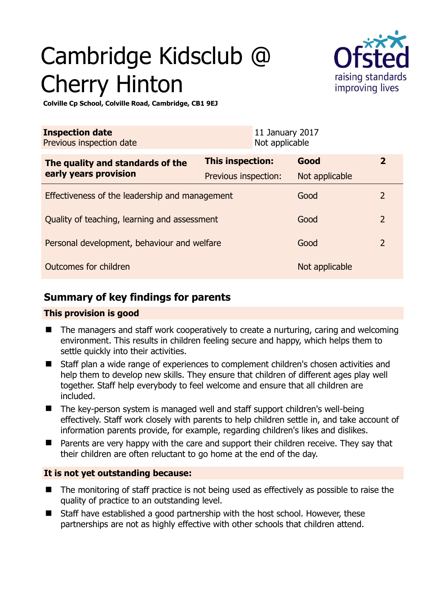# Cambridge Kidsclub @ Cherry Hinton



**Colville Cp School, Colville Road, Cambridge, CB1 9EJ** 

| <b>Inspection date</b><br>Previous inspection date        |                      | 11 January 2017<br>Not applicable |                |                |
|-----------------------------------------------------------|----------------------|-----------------------------------|----------------|----------------|
| The quality and standards of the<br>early years provision | This inspection:     |                                   | Good           | $\overline{2}$ |
|                                                           | Previous inspection: |                                   | Not applicable |                |
| Effectiveness of the leadership and management            |                      |                                   | Good           | 2              |
| Quality of teaching, learning and assessment              |                      |                                   | Good           | $\overline{2}$ |
| Personal development, behaviour and welfare               |                      |                                   | Good           | $\overline{2}$ |
| Outcomes for children                                     |                      |                                   | Not applicable |                |

## **Summary of key findings for parents**

#### **This provision is good**

- The managers and staff work cooperatively to create a nurturing, caring and welcoming environment. This results in children feeling secure and happy, which helps them to settle quickly into their activities.
- Staff plan a wide range of experiences to complement children's chosen activities and help them to develop new skills. They ensure that children of different ages play well together. Staff help everybody to feel welcome and ensure that all children are included.
- The key-person system is managed well and staff support children's well-being effectively. Staff work closely with parents to help children settle in, and take account of information parents provide, for example, regarding children's likes and dislikes.
- **Parents are very happy with the care and support their children receive. They say that** their children are often reluctant to go home at the end of the day.

### **It is not yet outstanding because:**

- The monitoring of staff practice is not being used as effectively as possible to raise the quality of practice to an outstanding level.
- Staff have established a good partnership with the host school. However, these partnerships are not as highly effective with other schools that children attend.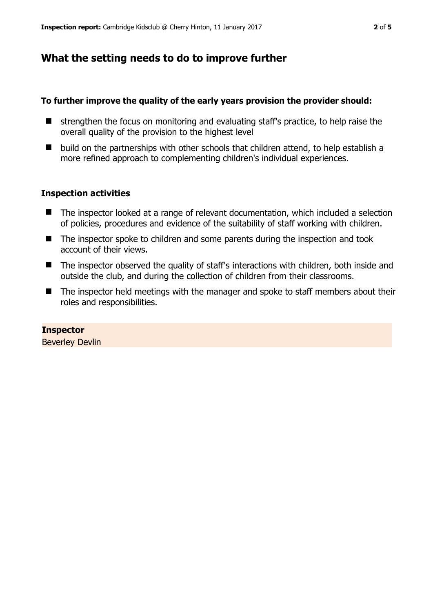## **What the setting needs to do to improve further**

#### **To further improve the quality of the early years provision the provider should:**

- $\blacksquare$  strengthen the focus on monitoring and evaluating staff's practice, to help raise the overall quality of the provision to the highest level
- $\blacksquare$  build on the partnerships with other schools that children attend, to help establish a more refined approach to complementing children's individual experiences.

#### **Inspection activities**

- The inspector looked at a range of relevant documentation, which included a selection of policies, procedures and evidence of the suitability of staff working with children.
- The inspector spoke to children and some parents during the inspection and took account of their views.
- The inspector observed the quality of staff's interactions with children, both inside and outside the club, and during the collection of children from their classrooms.
- The inspector held meetings with the manager and spoke to staff members about their roles and responsibilities.

**Inspector**  Beverley Devlin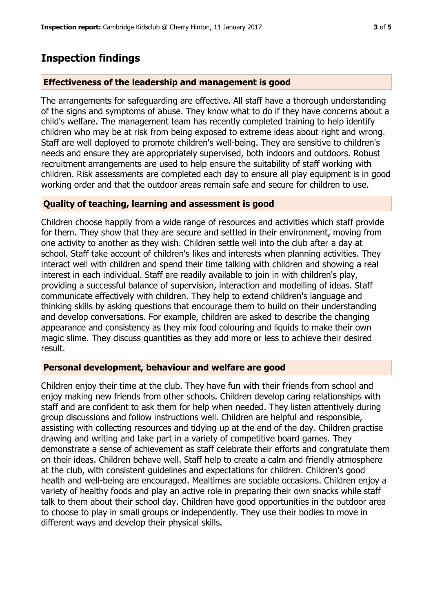## **Inspection findings**

#### **Effectiveness of the leadership and management is good**

The arrangements for safeguarding are effective. All staff have a thorough understanding of the signs and symptoms of abuse. They know what to do if they have concerns about a child's welfare. The management team has recently completed training to help identify children who may be at risk from being exposed to extreme ideas about right and wrong. Staff are well deployed to promote children's well-being. They are sensitive to children's needs and ensure they are appropriately supervised, both indoors and outdoors. Robust recruitment arrangements are used to help ensure the suitability of staff working with children. Risk assessments are completed each day to ensure all play equipment is in good working order and that the outdoor areas remain safe and secure for children to use.

#### **Quality of teaching, learning and assessment is good**

Children choose happily from a wide range of resources and activities which staff provide for them. They show that they are secure and settled in their environment, moving from one activity to another as they wish. Children settle well into the club after a day at school. Staff take account of children's likes and interests when planning activities. They interact well with children and spend their time talking with children and showing a real interest in each individual. Staff are readily available to join in with children's play, providing a successful balance of supervision, interaction and modelling of ideas. Staff communicate effectively with children. They help to extend children's language and thinking skills by asking questions that encourage them to build on their understanding and develop conversations. For example, children are asked to describe the changing appearance and consistency as they mix food colouring and liquids to make their own magic slime. They discuss quantities as they add more or less to achieve their desired result.

#### **Personal development, behaviour and welfare are good**

Children enjoy their time at the club. They have fun with their friends from school and enjoy making new friends from other schools. Children develop caring relationships with staff and are confident to ask them for help when needed. They listen attentively during group discussions and follow instructions well. Children are helpful and responsible, assisting with collecting resources and tidying up at the end of the day. Children practise drawing and writing and take part in a variety of competitive board games. They demonstrate a sense of achievement as staff celebrate their efforts and congratulate them on their ideas. Children behave well. Staff help to create a calm and friendly atmosphere at the club, with consistent guidelines and expectations for children. Children's good health and well-being are encouraged. Mealtimes are sociable occasions. Children enjoy a variety of healthy foods and play an active role in preparing their own snacks while staff talk to them about their school day. Children have good opportunities in the outdoor area to choose to play in small groups or independently. They use their bodies to move in different ways and develop their physical skills.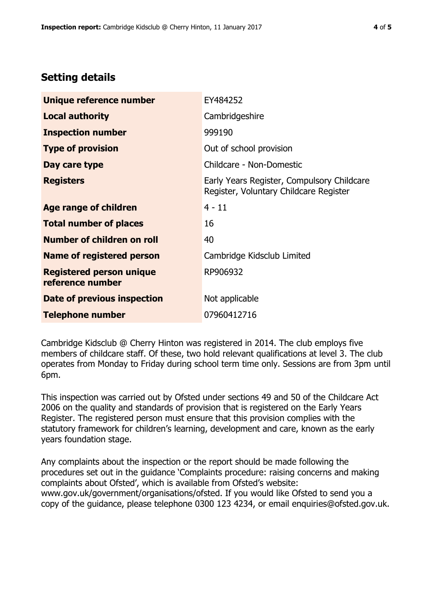## **Setting details**

| Unique reference number                             | EY484252                                                                             |  |  |
|-----------------------------------------------------|--------------------------------------------------------------------------------------|--|--|
| <b>Local authority</b>                              | Cambridgeshire                                                                       |  |  |
| <b>Inspection number</b>                            | 999190                                                                               |  |  |
| <b>Type of provision</b>                            | Out of school provision                                                              |  |  |
| Day care type                                       | Childcare - Non-Domestic                                                             |  |  |
| <b>Registers</b>                                    | Early Years Register, Compulsory Childcare<br>Register, Voluntary Childcare Register |  |  |
| Age range of children                               | $4 - 11$                                                                             |  |  |
| <b>Total number of places</b>                       | 16                                                                                   |  |  |
| Number of children on roll                          | 40                                                                                   |  |  |
| <b>Name of registered person</b>                    | Cambridge Kidsclub Limited                                                           |  |  |
| <b>Registered person unique</b><br>reference number | RP906932                                                                             |  |  |
| Date of previous inspection                         | Not applicable                                                                       |  |  |
| <b>Telephone number</b>                             | 07960412716                                                                          |  |  |

Cambridge Kidsclub @ Cherry Hinton was registered in 2014. The club employs five members of childcare staff. Of these, two hold relevant qualifications at level 3. The club operates from Monday to Friday during school term time only. Sessions are from 3pm until 6pm.

This inspection was carried out by Ofsted under sections 49 and 50 of the Childcare Act 2006 on the quality and standards of provision that is registered on the Early Years Register. The registered person must ensure that this provision complies with the statutory framework for children's learning, development and care, known as the early years foundation stage.

Any complaints about the inspection or the report should be made following the procedures set out in the guidance 'Complaints procedure: raising concerns and making complaints about Ofsted', which is available from Ofsted's website: www.gov.uk/government/organisations/ofsted. If you would like Ofsted to send you a copy of the guidance, please telephone 0300 123 4234, or email enquiries@ofsted.gov.uk.